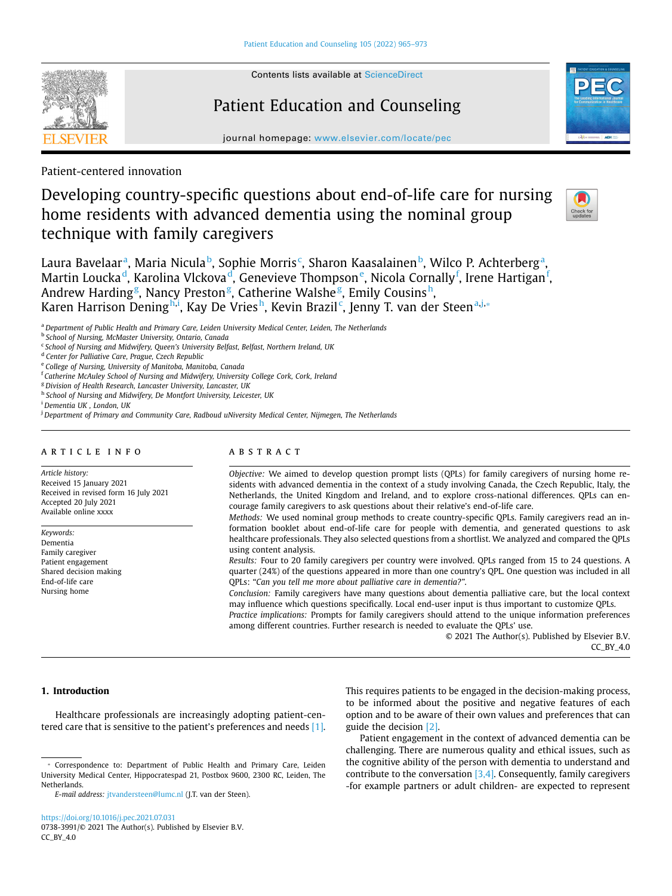

Contents lists available at [ScienceDirect](http://www.sciencedirect.com/science/journal/07383991) 

# Patient Education and Counseling



journal homepage: [www.elsevier.com/locate/pec](https://www.elsevier.com/locate/pec)

Patient-centered innovation

# Developing country-specific questions about end-of-life care for nursing home residents with advanced dementia using the nominal group technique with family caregivers



L[a](#page-0-0)ura Bavelaar<sup>a</sup>, Maria Nicula<sup>[b](#page-0-1)</sup>, Sophie Morris<sup>[c](#page-0-2)</sup>, Sharon Kaasalainen<sup>b</sup>, Wilco P. Achterberg<sup>a</sup>, Martin Loucka<sup>[d](#page-0-3)</sup>, Karolina Vlckova<sup>d</sup>, G[e](#page-0-4)nevieve Thompson<sup>e</sup>, Nicola Cornally<sup>[f](#page-0-5)</sup>, Irene Hartigan<sup>f</sup>, Andrew Hardin[g](#page-0-6)<sup>g</sup>, Nancy Preston<sup>g</sup>, Cat[h](#page-0-7)erine Walshe<sup>g</sup>, Emily Cousinsh, Karen Harrison Dening<sup>[h](#page-0-7)[,i](#page-0-8)</sup>, Kay De Vries<sup>h</sup>, Kevin Brazil<sup>[c](#page-0-2)</sup>, Jenny T. v[a](#page-0-0)n der Steen<sup>a[,j,](#page-0-9)</sup>\*

<span id="page-0-0"></span><sup>a</sup>*Department of Public Health and Primary Care, Leiden University Medical Center, Leiden, The Netherlands* 

<span id="page-0-1"></span><sup>b</sup>*School of Nursing, McMaster University, Ontario, Canada* 

<span id="page-0-3"></span><sup>d</sup>*Center for Palliative Care, Prague, Czech Republic* 

<span id="page-0-5"></span><sup>f</sup>*Catherine McAuley School of Nursing and Midwifery, University College Cork, Cork, Ireland* 

<span id="page-0-6"></span><sup>g</sup>*Division of Health Research, Lancaster University, Lancaster, UK* 

<span id="page-0-7"></span><sup>h</sup>*School of Nursing and Midwifery, De Montfort University, Leicester, UK* 

<span id="page-0-8"></span><sup>i</sup>*Dementia UK , London, UK* 

<span id="page-0-9"></span><sup>j</sup>*Department of Primary and Community Care, Radboud uNiversity Medical Center, Nijmegen, The Netherlands* 

#### article info

*Article history:*  Received 15 January 2021 Received in revised form 16 July 2021 Accepted 20 July 2021 Available online xxxx

*Keywords:*  Dementia Family caregiver Patient engagement Shared decision making End-of-life care Nursing home

# **ABSTRACT**

*Objective:* We aimed to develop question prompt lists (QPLs) for family caregivers of nursing home residents with advanced dementia in the context of a study involving Canada, the Czech Republic, Italy, the Netherlands, the United Kingdom and Ireland, and to explore cross-national differences. QPLs can encourage family caregivers to ask questions about their relative's end-of-life care.

*Methods:* We used nominal group methods to create country-specific QPLs. Family caregivers read an information booklet about end-of-life care for people with dementia, and generated questions to ask healthcare professionals. They also selected questions from a shortlist. We analyzed and compared the QPLs using content analysis.

*Results:* Four to 20 family caregivers per country were involved. QPLs ranged from 15 to 24 questions. A quarter (24%) of the questions appeared in more than one country's QPL. One question was included in all QPLs: "*Can you tell me more about palliative care in dementia?"*.

*Conclusion:* Family caregivers have many questions about dementia palliative care, but the local context may influence which questions specifically. Local end-user input is thus important to customize QPLs.

*Practice implications:* Prompts for family caregivers should attend to the unique information preferences among different countries. Further research is needed to evaluate the QPLs' use.

© 2021 The Author(s). Published by Elsevier B.V. CC\_BY\_4.0

## **1. Introduction**

Healthcare professionals are increasingly adopting patient-cen-tered care that is sensitive to the patient's preferences and needs [\[1\].](#page-7-0)

<https://doi.org/10.1016/j.pec.2021.07.031> 0738-3991/© 2021 The Author(s). Published by Elsevier B.V. CC\_BY\_4.0

This requires patients to be engaged in the decision-making process, to be informed about the positive and negative features of each option and to be aware of their own values and preferences that can guide the decision [\[2\]](#page-7-1).

Patient engagement in the context of advanced dementia can be challenging. There are numerous quality and ethical issues, such as the cognitive ability of the person with dementia to understand and contribute to the conversation  $[3,4]$ . Consequently, family caregivers -for example partners or adult children- are expected to represent

<span id="page-0-2"></span><sup>c</sup>*School of Nursing and Midwifery, Queen's University Belfast, Belfast, Northern Ireland, UK* 

<span id="page-0-4"></span><sup>e</sup>*College of Nursing, University of Manitoba, Manitoba, Canada* 

<span id="page-0-10"></span><sup>⁎</sup> Correspondence to: Department of Public Health and Primary Care, Leiden University Medical Center, Hippocratespad 21, Postbox 9600, 2300 RC, Leiden, The Netherlands.

*E-mail address:* [jtvandersteen@lumc.nl](mailto:jtvandersteen@lumc.nl) (J.T. van der Steen).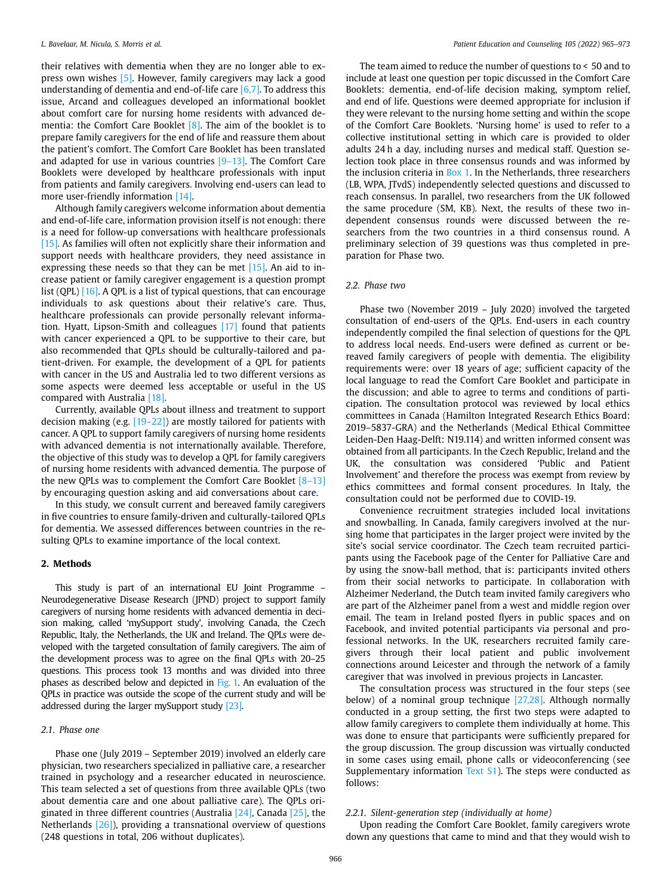their relatives with dementia when they are no longer able to express own wishes [\[5\]](#page-7-3). However, family caregivers may lack a good understanding of dementia and end-of-life care  $[6,7]$ . To address this issue, Arcand and colleagues developed an informational booklet about comfort care for nursing home residents with advanced dementia: the Comfort Care Booklet [\[8\].](#page-7-5) The aim of the booklet is to prepare family caregivers for the end of life and reassure them about the patient's comfort. The Comfort Care Booklet has been translated and adapted for use in various countries [\[9–13\]](#page-7-6). The Comfort Care Booklets were developed by healthcare professionals with input from patients and family caregivers. Involving end-users can lead to more user-friendly information [\[14\]](#page-7-7).

Although family caregivers welcome information about dementia and end-of-life care, information provision itself is not enough: there is a need for follow-up conversations with healthcare professionals [\[15\]](#page-7-8). As families will often not explicitly share their information and support needs with healthcare providers, they need assistance in expressing these needs so that they can be met [\[15\]](#page-7-8). An aid to increase patient or family caregiver engagement is a question prompt list (QPL) [\[16\]](#page-7-9). A QPL is a list of typical questions, that can encourage individuals to ask questions about their relative's care. Thus, healthcare professionals can provide personally relevant information. Hyatt, Lipson-Smith and colleagues [\[17\]](#page-7-10) found that patients with cancer experienced a QPL to be supportive to their care, but also recommended that QPLs should be culturally-tailored and patient-driven. For example, the development of a QPL for patients with cancer in the US and Australia led to two different versions as some aspects were deemed less acceptable or useful in the US compared with Australia [\[18\].](#page-7-11)

Currently, available QPLs about illness and treatment to support decision making (e.g.  $[19-22]$ ) are mostly tailored for patients with cancer. A QPL to support family caregivers of nursing home residents with advanced dementia is not internationally available. Therefore, the objective of this study was to develop a QPL for family caregivers of nursing home residents with advanced dementia. The purpose of the new OPLs was to complement the Comfort Care Booklet  $[8-13]$ by encouraging question asking and aid conversations about care.

In this study, we consult current and bereaved family caregivers in five countries to ensure family-driven and culturally-tailored QPLs for dementia. We assessed differences between countries in the resulting QPLs to examine importance of the local context.

## **2. Methods**

This study is part of an international EU Joint Programme – Neurodegenerative Disease Research (JPND) project to support family caregivers of nursing home residents with advanced dementia in decision making, called 'mySupport study', involving Canada, the Czech Republic, Italy, the Netherlands, the UK and Ireland. The QPLs were developed with the targeted consultation of family caregivers. The aim of the development process was to agree on the final QPLs with 20–25 questions. This process took 13 months and was divided into three phases as described below and depicted in [Fig. 1.](#page-2-0) An evaluation of the QPLs in practice was outside the scope of the current study and will be addressed during the larger mySupport study [\[23\]](#page-8-0).

#### *2.1. Phase one*

Phase one (July 2019 – September 2019) involved an elderly care physician, two researchers specialized in palliative care, a researcher trained in psychology and a researcher educated in neuroscience. This team selected a set of questions from three available QPLs (two about dementia care and one about palliative care). The QPLs originated in three different countries (Australia [\[24\]](#page-8-1), Canada [\[25\]](#page-8-2), the Netherlands [\[26\]\)](#page-8-3), providing a transnational overview of questions (248 questions in total, 206 without duplicates).

The team aimed to reduce the number of questions to < 50 and to include at least one question per topic discussed in the Comfort Care Booklets: dementia, end-of-life decision making, symptom relief, and end of life. Questions were deemed appropriate for inclusion if they were relevant to the nursing home setting and within the scope of the Comfort Care Booklets. 'Nursing home' is used to refer to a collective institutional setting in which care is provided to older adults 24 h a day, including nurses and medical staff. Question selection took place in three consensus rounds and was informed by the inclusion criteria in [Box 1.](#page-3-0) In the Netherlands, three researchers (LB, WPA, JTvdS) independently selected questions and discussed to reach consensus. In parallel, two researchers from the UK followed the same procedure (SM, KB). Next, the results of these two independent consensus rounds were discussed between the researchers from the two countries in a third consensus round. A preliminary selection of 39 questions was thus completed in preparation for Phase two.

#### *2.2. Phase two*

Phase two (November 2019 – July 2020) involved the targeted consultation of end-users of the QPLs. End-users in each country independently compiled the final selection of questions for the QPL to address local needs. End-users were defined as current or bereaved family caregivers of people with dementia. The eligibility requirements were: over 18 years of age; sufficient capacity of the local language to read the Comfort Care Booklet and participate in the discussion; and able to agree to terms and conditions of participation. The consultation protocol was reviewed by local ethics committees in Canada (Hamilton Integrated Research Ethics Board: 2019–5837-GRA) and the Netherlands (Medical Ethical Committee Leiden-Den Haag-Delft: N19.114) and written informed consent was obtained from all participants. In the Czech Republic, Ireland and the UK, the consultation was considered 'Public and Patient Involvement' and therefore the process was exempt from review by ethics committees and formal consent procedures. In Italy, the consultation could not be performed due to COVID-19.

Convenience recruitment strategies included local invitations and snowballing. In Canada, family caregivers involved at the nursing home that participates in the larger project were invited by the site's social service coordinator. The Czech team recruited participants using the Facebook page of the Center for Palliative Care and by using the snow-ball method, that is: participants invited others from their social networks to participate. In collaboration with Alzheimer Nederland, the Dutch team invited family caregivers who are part of the Alzheimer panel from a west and middle region over email. The team in Ireland posted flyers in public spaces and on Facebook, and invited potential participants via personal and professional networks. In the UK, researchers recruited family caregivers through their local patient and public involvement connections around Leicester and through the network of a family caregiver that was involved in previous projects in Lancaster.

The consultation process was structured in the four steps (see below) of a nominal group technique [\[27,28\]](#page-8-4). Although normally conducted in a group setting, the first two steps were adapted to allow family caregivers to complete them individually at home. This was done to ensure that participants were sufficiently prepared for the group discussion. The group discussion was virtually conducted in some cases using email, phone calls or videoconferencing (see Supplementary information Text  $S1$ ). The steps were conducted as follows:

## *2.2.1. Silent-generation step (individually at home)*

Upon reading the Comfort Care Booklet, family caregivers wrote down any questions that came to mind and that they would wish to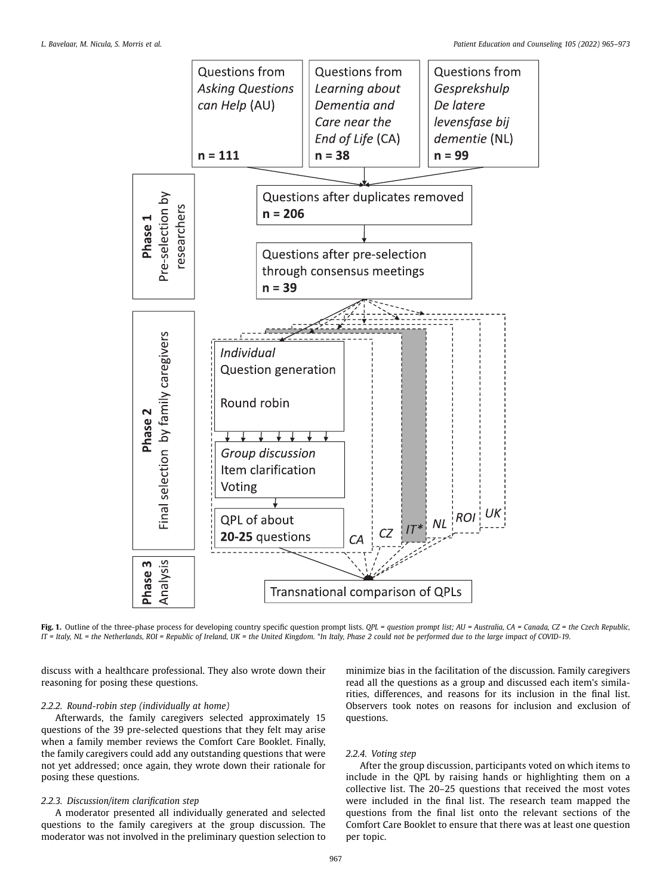<span id="page-2-0"></span>

**Fig. 1.** Outline of the three-phase process for developing country specific question prompt lists. *QPL = question prompt list; AU = Australia, CA = Canada, CZ = the Czech Republic, IT = Italy, NL = the Netherlands, ROI = Republic of Ireland, UK = the United Kingdom.* \**In Italy, Phase 2 could not be performed due to the large impact of COVID-19*.

discuss with a healthcare professional. They also wrote down their reasoning for posing these questions.

## *2.2.2. Round-robin step (individually at home)*

Afterwards, the family caregivers selected approximately 15 questions of the 39 pre-selected questions that they felt may arise when a family member reviews the Comfort Care Booklet. Finally, the family caregivers could add any outstanding questions that were not yet addressed; once again, they wrote down their rationale for posing these questions.

## *2.2.3. Discussion/item clarification step*

A moderator presented all individually generated and selected questions to the family caregivers at the group discussion. The moderator was not involved in the preliminary question selection to

minimize bias in the facilitation of the discussion. Family caregivers read all the questions as a group and discussed each item's similarities, differences, and reasons for its inclusion in the final list. Observers took notes on reasons for inclusion and exclusion of questions.

## *2.2.4. Voting step*

After the group discussion, participants voted on which items to include in the QPL by raising hands or highlighting them on a collective list. The 20–25 questions that received the most votes were included in the final list. The research team mapped the questions from the final list onto the relevant sections of the Comfort Care Booklet to ensure that there was at least one question per topic.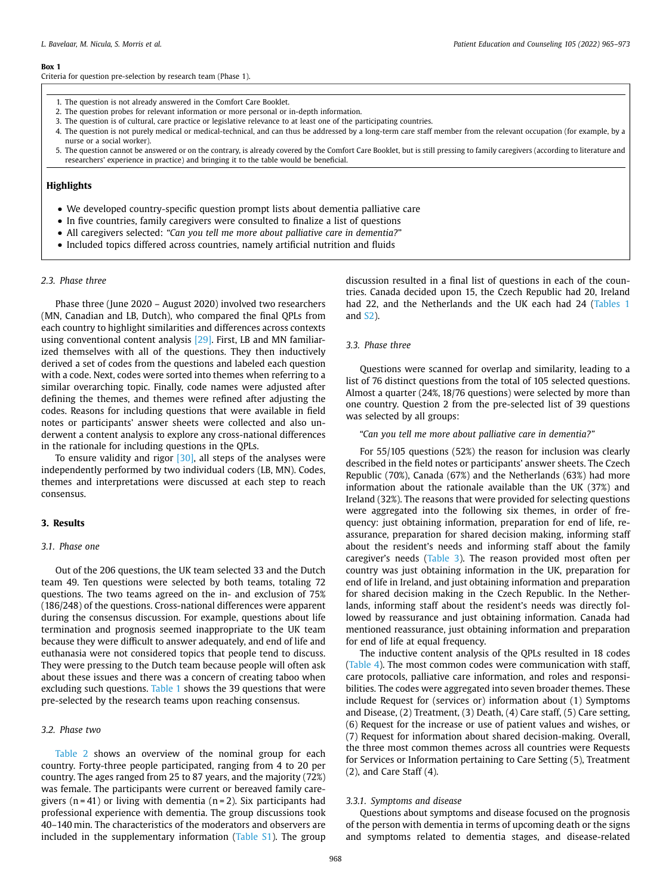#### <span id="page-3-0"></span>**Box 1**

Criteria for question pre-selection by research team (Phase 1).

- 1. The question is not already answered in the Comfort Care Booklet.
- 2. The question probes for relevant information or more personal or in-depth information.
- 3. The question is of cultural, care practice or legislative relevance to at least one of the participating countries.
- 4. The question is not purely medical or medical-technical, and can thus be addressed by a long-term care staff member from the relevant occupation (for example, by a nurse or a social worker).
- 5. The question cannot be answered or on the contrary, is already covered by the Comfort Care Booklet, but is still pressing to family caregivers (according to literature and researchers' experience in practice) and bringing it to the table would be beneficial.

## **Highlights**

- We developed country-specific question prompt lists about dementia palliative care
- In five countries, family caregivers were consulted to finalize a list of questions
- All caregivers selected: *"Can you tell me more about palliative care in dementia?*"
- Included topics differed across countries, namely artificial nutrition and fluids

#### *2.3. Phase three*

Phase three (June 2020 – August 2020) involved two researchers (MN, Canadian and LB, Dutch), who compared the final QPLs from each country to highlight similarities and differences across contexts using conventional content analysis [\[29\].](#page-8-5) First, LB and MN familiarized themselves with all of the questions. They then inductively derived a set of codes from the questions and labeled each question with a code. Next, codes were sorted into themes when referring to a similar overarching topic. Finally, code names were adjusted after defining the themes, and themes were refined after adjusting the codes. Reasons for including questions that were available in field notes or participants' answer sheets were collected and also underwent a content analysis to explore any cross-national differences in the rationale for including questions in the QPLs.

To ensure validity and rigor  $[30]$ , all steps of the analyses were independently performed by two individual coders (LB, MN). Codes, themes and interpretations were discussed at each step to reach consensus.

#### **3. Results**

#### *3.1. Phase one*

Out of the 206 questions, the UK team selected 33 and the Dutch team 49. Ten questions were selected by both teams, totaling 72 questions. The two teams agreed on the in- and exclusion of 75% (186/248) of the questions. Cross-national differences were apparent during the consensus discussion. For example, questions about life termination and prognosis seemed inappropriate to the UK team because they were difficult to answer adequately, and end of life and euthanasia were not considered topics that people tend to discuss. They were pressing to the Dutch team because people will often ask about these issues and there was a concern of creating taboo when excluding such questions. [Table 1](#page-4-0) shows the 39 questions that were pre-selected by the research teams upon reaching consensus.

## *3.2. Phase two*

[Table 2](#page-4-1) shows an overview of the nominal group for each country. Forty-three people participated, ranging from 4 to 20 per country. The ages ranged from 25 to 87 years, and the majority (72%) was female. The participants were current or bereaved family caregivers ( $n = 41$ ) or living with dementia ( $n = 2$ ). Six participants had professional experience with dementia. The group discussions took 40–140 min. The characteristics of the moderators and observers are included in the supplementary information (Table S1). The group

discussion resulted in a final list of questions in each of the countries. Canada decided upon 15, the Czech Republic had 20, Ireland had 22, and the Netherlands and the UK each had 24 ([Tables 1](#page-4-0)  and S2).

#### *3.3. Phase three*

Questions were scanned for overlap and similarity, leading to a list of 76 distinct questions from the total of 105 selected questions. Almost a quarter (24%, 18/76 questions) were selected by more than one country. Question 2 from the pre-selected list of 39 questions was selected by all groups:

*"Can you tell me more about palliative care in dementia?"* 

For 55/105 questions (52%) the reason for inclusion was clearly described in the field notes or participants' answer sheets. The Czech Republic (70%), Canada (67%) and the Netherlands (63%) had more information about the rationale available than the UK (37%) and Ireland (32%). The reasons that were provided for selecting questions were aggregated into the following six themes, in order of frequency: just obtaining information, preparation for end of life, reassurance, preparation for shared decision making, informing staff about the resident's needs and informing staff about the family caregiver's needs [\(Table 3](#page-5-0)). The reason provided most often per country was just obtaining information in the UK, preparation for end of life in Ireland, and just obtaining information and preparation for shared decision making in the Czech Republic. In the Netherlands, informing staff about the resident's needs was directly followed by reassurance and just obtaining information. Canada had mentioned reassurance, just obtaining information and preparation for end of life at equal frequency.

The inductive content analysis of the QPLs resulted in 18 codes ([Table 4](#page-5-1)). The most common codes were communication with staff, care protocols, palliative care information, and roles and responsibilities. The codes were aggregated into seven broader themes. These include Request for (services or) information about (1) Symptoms and Disease, (2) Treatment, (3) Death, (4) Care staff, (5) Care setting, (6) Request for the increase or use of patient values and wishes, or (7) Request for information about shared decision-making. Overall, the three most common themes across all countries were Requests for Services or Information pertaining to Care Setting (5), Treatment (2), and Care Staff (4).

#### *3.3.1. Symptoms and disease*

Questions about symptoms and disease focused on the prognosis of the person with dementia in terms of upcoming death or the signs and symptoms related to dementia stages, and disease-related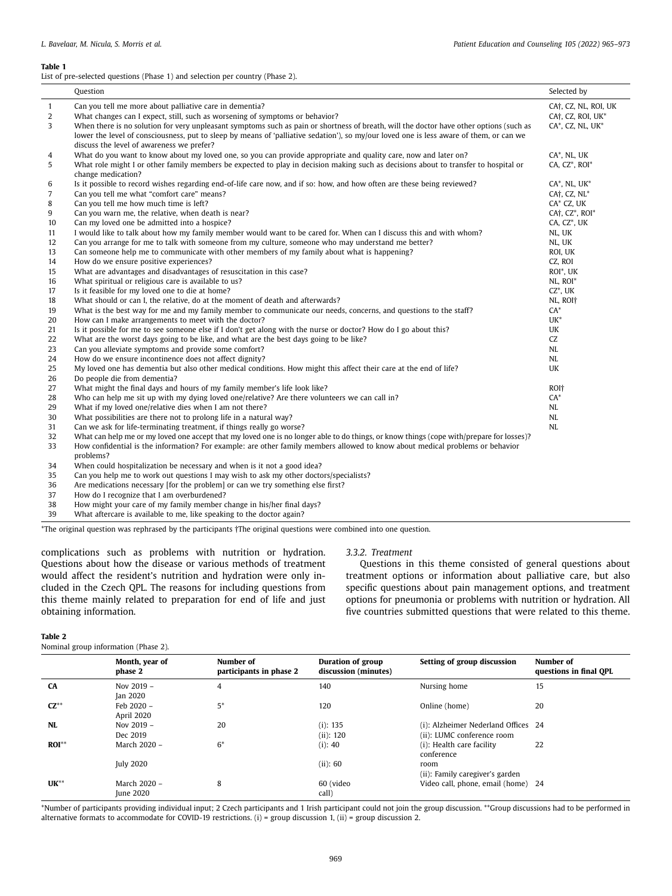#### <span id="page-4-0"></span>**Table 1**

List of pre-selected questions (Phase 1) and selection per country (Phase 2).

| $\overline{1}$<br>Can you tell me more about palliative care in dementia?<br>CA <sup>†</sup> , CZ, NL, ROI, UK<br>2<br>What changes can I expect, still, such as worsening of symptoms or behavior?<br>CA <sup>†</sup> , CZ, ROI, UK <sup>*</sup><br>3<br>When there is no solution for very unpleasant symptoms such as pain or shortness of breath, will the doctor have other options (such as<br>$CA^*$ , CZ, NL, UK $^*$<br>lower the level of consciousness, put to sleep by means of 'palliative sedation'), so my/our loved one is less aware of them, or can we<br>discuss the level of awareness we prefer?<br>What do you want to know about my loved one, so you can provide appropriate and quality care, now and later on?<br>CA*, NL, UK<br>4<br>What role might I or other family members be expected to play in decision making such as decisions about to transfer to hospital or<br>CA, CZ*, ROI*<br>5<br>change medication? |  |
|-------------------------------------------------------------------------------------------------------------------------------------------------------------------------------------------------------------------------------------------------------------------------------------------------------------------------------------------------------------------------------------------------------------------------------------------------------------------------------------------------------------------------------------------------------------------------------------------------------------------------------------------------------------------------------------------------------------------------------------------------------------------------------------------------------------------------------------------------------------------------------------------------------------------------------------------------|--|
|                                                                                                                                                                                                                                                                                                                                                                                                                                                                                                                                                                                                                                                                                                                                                                                                                                                                                                                                                 |  |
|                                                                                                                                                                                                                                                                                                                                                                                                                                                                                                                                                                                                                                                                                                                                                                                                                                                                                                                                                 |  |
|                                                                                                                                                                                                                                                                                                                                                                                                                                                                                                                                                                                                                                                                                                                                                                                                                                                                                                                                                 |  |
|                                                                                                                                                                                                                                                                                                                                                                                                                                                                                                                                                                                                                                                                                                                                                                                                                                                                                                                                                 |  |
|                                                                                                                                                                                                                                                                                                                                                                                                                                                                                                                                                                                                                                                                                                                                                                                                                                                                                                                                                 |  |
|                                                                                                                                                                                                                                                                                                                                                                                                                                                                                                                                                                                                                                                                                                                                                                                                                                                                                                                                                 |  |
|                                                                                                                                                                                                                                                                                                                                                                                                                                                                                                                                                                                                                                                                                                                                                                                                                                                                                                                                                 |  |
|                                                                                                                                                                                                                                                                                                                                                                                                                                                                                                                                                                                                                                                                                                                                                                                                                                                                                                                                                 |  |
| Is it possible to record wishes regarding end-of-life care now, and if so: how, and how often are these being reviewed?<br>6<br>$CA^*$ , NL, UK $^*$                                                                                                                                                                                                                                                                                                                                                                                                                                                                                                                                                                                                                                                                                                                                                                                            |  |
| $\overline{7}$<br>Can you tell me what "comfort care" means?<br>CA <sub>†</sub> , C <sub>Z</sub> , NL*                                                                                                                                                                                                                                                                                                                                                                                                                                                                                                                                                                                                                                                                                                                                                                                                                                          |  |
| 8<br>Can you tell me how much time is left?<br>CA* CZ, UK                                                                                                                                                                                                                                                                                                                                                                                                                                                                                                                                                                                                                                                                                                                                                                                                                                                                                       |  |
| CA <sub>T</sub> , C <sub>Z</sub> <sup>*</sup> , ROI <sup>*</sup><br>9<br>Can you warn me, the relative, when death is near?                                                                                                                                                                                                                                                                                                                                                                                                                                                                                                                                                                                                                                                                                                                                                                                                                     |  |
| CA, CZ*, UK<br>Can my loved one be admitted into a hospice?<br>10                                                                                                                                                                                                                                                                                                                                                                                                                                                                                                                                                                                                                                                                                                                                                                                                                                                                               |  |
| I would like to talk about how my family member would want to be cared for. When can I discuss this and with whom?<br>NL, UK<br>11                                                                                                                                                                                                                                                                                                                                                                                                                                                                                                                                                                                                                                                                                                                                                                                                              |  |
| Can you arrange for me to talk with someone from my culture, someone who may understand me better?<br>12<br>NL, UK                                                                                                                                                                                                                                                                                                                                                                                                                                                                                                                                                                                                                                                                                                                                                                                                                              |  |
| Can someone help me to communicate with other members of my family about what is happening?<br>13<br>ROI, UK                                                                                                                                                                                                                                                                                                                                                                                                                                                                                                                                                                                                                                                                                                                                                                                                                                    |  |
| How do we ensure positive experiences?<br>14<br>CZ, ROI                                                                                                                                                                                                                                                                                                                                                                                                                                                                                                                                                                                                                                                                                                                                                                                                                                                                                         |  |
| What are advantages and disadvantages of resuscitation in this case?<br>15<br>ROI*, UK                                                                                                                                                                                                                                                                                                                                                                                                                                                                                                                                                                                                                                                                                                                                                                                                                                                          |  |
| 16<br>What spiritual or religious care is available to us?<br>NL, ROI*                                                                                                                                                                                                                                                                                                                                                                                                                                                                                                                                                                                                                                                                                                                                                                                                                                                                          |  |
| $CZ^*$ , UK<br>Is it feasible for my loved one to die at home?<br>17                                                                                                                                                                                                                                                                                                                                                                                                                                                                                                                                                                                                                                                                                                                                                                                                                                                                            |  |
| What should or can I, the relative, do at the moment of death and afterwards?<br>18<br>NL, ROIT                                                                                                                                                                                                                                                                                                                                                                                                                                                                                                                                                                                                                                                                                                                                                                                                                                                 |  |
| What is the best way for me and my family member to communicate our needs, concerns, and questions to the staff?<br>$CA^*$<br>19                                                                                                                                                                                                                                                                                                                                                                                                                                                                                                                                                                                                                                                                                                                                                                                                                |  |
| $UK^*$<br>20<br>How can I make arrangements to meet with the doctor?                                                                                                                                                                                                                                                                                                                                                                                                                                                                                                                                                                                                                                                                                                                                                                                                                                                                            |  |
| Is it possible for me to see someone else if I don't get along with the nurse or doctor? How do I go about this?<br>21<br>UK                                                                                                                                                                                                                                                                                                                                                                                                                                                                                                                                                                                                                                                                                                                                                                                                                    |  |
| 22<br>What are the worst days going to be like, and what are the best days going to be like?<br>CZ                                                                                                                                                                                                                                                                                                                                                                                                                                                                                                                                                                                                                                                                                                                                                                                                                                              |  |
| Can you alleviate symptoms and provide some comfort?<br>23<br>NL                                                                                                                                                                                                                                                                                                                                                                                                                                                                                                                                                                                                                                                                                                                                                                                                                                                                                |  |
| 24<br>How do we ensure incontinence does not affect dignity?<br>NL                                                                                                                                                                                                                                                                                                                                                                                                                                                                                                                                                                                                                                                                                                                                                                                                                                                                              |  |
| My loved one has dementia but also other medical conditions. How might this affect their care at the end of life?<br>UK<br>25                                                                                                                                                                                                                                                                                                                                                                                                                                                                                                                                                                                                                                                                                                                                                                                                                   |  |
| 26<br>Do people die from dementia?                                                                                                                                                                                                                                                                                                                                                                                                                                                                                                                                                                                                                                                                                                                                                                                                                                                                                                              |  |
| 27<br>What might the final days and hours of my family member's life look like?<br>ROI <sup>+</sup>                                                                                                                                                                                                                                                                                                                                                                                                                                                                                                                                                                                                                                                                                                                                                                                                                                             |  |
| 28<br>Who can help me sit up with my dying loved one/relative? Are there volunteers we can call in?<br>$CA^*$                                                                                                                                                                                                                                                                                                                                                                                                                                                                                                                                                                                                                                                                                                                                                                                                                                   |  |
| What if my loved one/relative dies when I am not there?<br>29<br>NL                                                                                                                                                                                                                                                                                                                                                                                                                                                                                                                                                                                                                                                                                                                                                                                                                                                                             |  |
| 30<br>What possibilities are there not to prolong life in a natural way?<br>NL                                                                                                                                                                                                                                                                                                                                                                                                                                                                                                                                                                                                                                                                                                                                                                                                                                                                  |  |
| Can we ask for life-terminating treatment, if things really go worse?<br>NL<br>31                                                                                                                                                                                                                                                                                                                                                                                                                                                                                                                                                                                                                                                                                                                                                                                                                                                               |  |
| What can help me or my loved one accept that my loved one is no longer able to do things, or know things (cope with/prepare for losses)?<br>32                                                                                                                                                                                                                                                                                                                                                                                                                                                                                                                                                                                                                                                                                                                                                                                                  |  |
| How confidential is the information? For example: are other family members allowed to know about medical problems or behavior<br>33<br>problems?                                                                                                                                                                                                                                                                                                                                                                                                                                                                                                                                                                                                                                                                                                                                                                                                |  |
| When could hospitalization be necessary and when is it not a good idea?<br>34                                                                                                                                                                                                                                                                                                                                                                                                                                                                                                                                                                                                                                                                                                                                                                                                                                                                   |  |

35 Can you help me to work out questions I may wish to ask my other doctors/specialists?

36 Are medications necessary [for the problem] or can we try something else first?

37 How do I recognize that I am overburdened?

38 How might your care of my family member change in his/her final days?<br>39 What aftercare is available to me, like speaking to the doctor again? What aftercare is available to me, like speaking to the doctor again?

\*The original question was rephrased by the participants †The original questions were combined into one question.

complications such as problems with nutrition or hydration. Questions about how the disease or various methods of treatment would affect the resident's nutrition and hydration were only included in the Czech QPL. The reasons for including questions from this theme mainly related to preparation for end of life and just obtaining information.

#### *3.3.2. Treatment*

Questions in this theme consisted of general questions about treatment options or information about palliative care, but also specific questions about pain management options, and treatment options for pneumonia or problems with nutrition or hydration. All five countries submitted questions that were related to this theme.

<span id="page-4-1"></span>

| $\sim$<br>. . |  |
|---------------|--|
|---------------|--|

Nominal group information (Phase 2).

|           | Month, year of<br>phase 2 | Number of<br>participants in phase 2 | Duration of group<br>discussion (minutes) | Setting of group discussion                                       | Number of<br>questions in final OPL |
|-----------|---------------------------|--------------------------------------|-------------------------------------------|-------------------------------------------------------------------|-------------------------------------|
| CA        | Nov $2019 -$<br>Jan 2020  | 4                                    | 140                                       | Nursing home                                                      | 15                                  |
| $CZ^{**}$ | Feb 2020 -<br>April 2020  | $5*$                                 | 120                                       | Online (home)                                                     | 20                                  |
| <b>NL</b> | Nov $2019 -$<br>Dec 2019  | 20                                   | $(i)$ : 135<br>(ii): 120                  | (i): Alzheimer Nederland Offices 24<br>(ii): LUMC conference room |                                     |
| $ROI**$   | March 2020 -              | $6*$                                 | $(i)$ : 40                                | (i): Health care facility<br>conference                           | 22                                  |
|           | <b>July 2020</b>          |                                      | (ii): 60                                  | room<br>(ii): Family caregiver's garden                           |                                     |
| $UK^{**}$ | March 2020 -<br>June 2020 | 8                                    | 60 (video<br>call)                        | Video call, phone, email (home)                                   | -24                                 |

\*Number of participants providing individual input; 2 Czech participants and 1 Irish participant could not join the group discussion. \*\*Group discussions had to be performed in alternative formats to accommodate for COVID-19 restrictions. (i) = group discussion 1, (ii) = group discussion 2.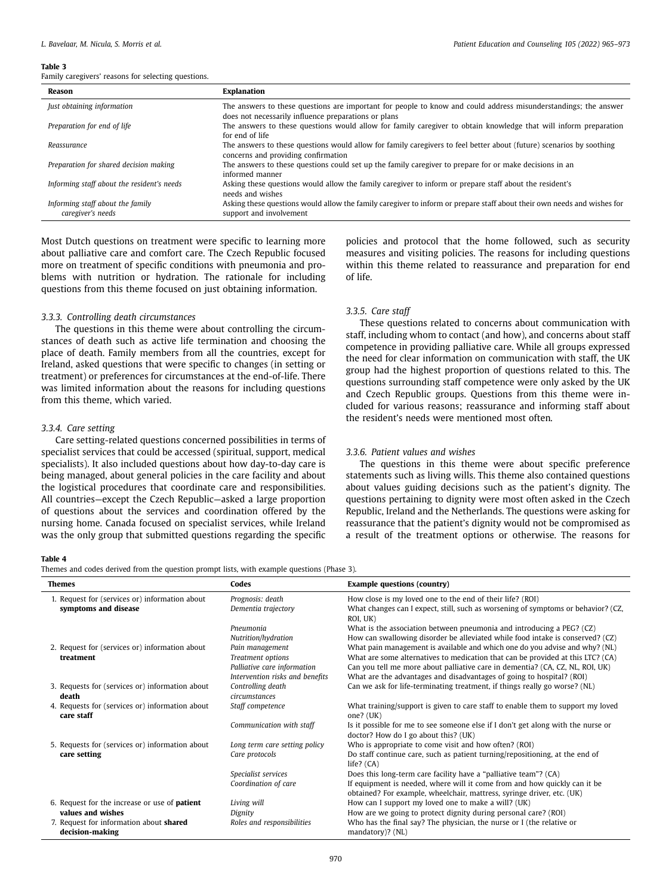#### <span id="page-5-0"></span>**Table 3**

Family caregivers' reasons for selecting questions.

| Reason                                                | Explanation                                                                                                                                                             |
|-------------------------------------------------------|-------------------------------------------------------------------------------------------------------------------------------------------------------------------------|
| Just obtaining information                            | The answers to these questions are important for people to know and could address misunderstandings; the answer<br>does not necessarily influence preparations or plans |
| Preparation for end of life                           | The answers to these questions would allow for family caregiver to obtain knowledge that will inform preparation<br>for end of life                                     |
| Reassurance                                           | The answers to these questions would allow for family caregivers to feel better about (future) scenarios by soothing<br>concerns and providing confirmation             |
| Preparation for shared decision making                | The answers to these questions could set up the family caregiver to prepare for or make decisions in an<br>informed manner                                              |
| Informing staff about the resident's needs            | Asking these questions would allow the family caregiver to inform or prepare staff about the resident's<br>needs and wishes                                             |
| Informing staff about the family<br>caregiver's needs | Asking these questions would allow the family caregiver to inform or prepare staff about their own needs and wishes for<br>support and involvement                      |

Most Dutch questions on treatment were specific to learning more about palliative care and comfort care. The Czech Republic focused more on treatment of specific conditions with pneumonia and problems with nutrition or hydration. The rationale for including questions from this theme focused on just obtaining information.

# *3.3.3. Controlling death circumstances*

The questions in this theme were about controlling the circumstances of death such as active life termination and choosing the place of death. Family members from all the countries, except for Ireland, asked questions that were specific to changes (in setting or treatment) or preferences for circumstances at the end-of-life. There was limited information about the reasons for including questions from this theme, which varied.

## *3.3.4. Care setting*

Care setting-related questions concerned possibilities in terms of specialist services that could be accessed (spiritual, support, medical specialists). It also included questions about how day-to-day care is being managed, about general policies in the care facility and about the logistical procedures that coordinate care and responsibilities. All countries—except the Czech Republic—asked a large proportion of questions about the services and coordination offered by the nursing home. Canada focused on specialist services, while Ireland was the only group that submitted questions regarding the specific

policies and protocol that the home followed, such as security measures and visiting policies. The reasons for including questions within this theme related to reassurance and preparation for end of life.

### *3.3.5. Care staff*

These questions related to concerns about communication with staff, including whom to contact (and how), and concerns about staff competence in providing palliative care. While all groups expressed the need for clear information on communication with staff, the UK group had the highest proportion of questions related to this. The questions surrounding staff competence were only asked by the UK and Czech Republic groups. Questions from this theme were included for various reasons; reassurance and informing staff about the resident's needs were mentioned most often.

## *3.3.6. Patient values and wishes*

The questions in this theme were about specific preference statements such as living wills. This theme also contained questions about values guiding decisions such as the patient's dignity. The questions pertaining to dignity were most often asked in the Czech Republic, Ireland and the Netherlands. The questions were asking for reassurance that the patient's dignity would not be compromised as a result of the treatment options or otherwise. The reasons for

## <span id="page-5-1"></span>**Table 4**

Themes and codes derived from the question prompt lists, with example questions (Phase 3).

| <b>Themes</b>                                                 | Codes                              | <b>Example questions (country)</b>                                                                                       |
|---------------------------------------------------------------|------------------------------------|--------------------------------------------------------------------------------------------------------------------------|
| 1. Request for (services or) information about                | Prognosis: death                   | How close is my loved one to the end of their life? (ROI)                                                                |
| symptoms and disease                                          | Dementia trajectory                | What changes can I expect, still, such as worsening of symptoms or behavior? (CZ,<br>ROI, UK)                            |
|                                                               | Pneumonia                          | What is the association between pneumonia and introducing a PEG? (CZ)                                                    |
|                                                               | Nutrition/hydration                | How can swallowing disorder be alleviated while food intake is conserved? (CZ)                                           |
| 2. Request for (services or) information about                | Pain management                    | What pain management is available and which one do you advise and why? (NL)                                              |
| treatment                                                     | <b>Treatment</b> options           | What are some alternatives to medication that can be provided at this LTC? (CA)                                          |
|                                                               | Palliative care information        | Can you tell me more about palliative care in dementia? (CA, CZ, NL, ROI, UK)                                            |
|                                                               | Intervention risks and benefits    | What are the advantages and disadvantages of going to hospital? (ROI)                                                    |
| 3. Requests for (services or) information about<br>death      | Controlling death<br>circumstances | Can we ask for life-terminating treatment, if things really go worse? (NL)                                               |
| 4. Requests for (services or) information about<br>care staff | Staff competence                   | What training/support is given to care staff to enable them to support my loved<br>one? $(UK)$                           |
|                                                               | Communication with staff           | Is it possible for me to see someone else if I don't get along with the nurse or<br>doctor? How do I go about this? (UK) |
| 5. Requests for (services or) information about               | Long term care setting policy      | Who is appropriate to come visit and how often? (ROI)                                                                    |
| care setting                                                  | Care protocols                     | Do staff continue care, such as patient turning/repositioning, at the end of<br>life? $(CA)$                             |
|                                                               | Specialist services                | Does this long-term care facility have a "palliative team"? (CA)                                                         |
|                                                               | Coordination of care               | If equipment is needed, where will it come from and how quickly can it be                                                |
|                                                               |                                    | obtained? For example, wheelchair, mattress, syringe driver, etc. (UK)                                                   |
| 6. Request for the increase or use of <b>patient</b>          | Living will                        | How can I support my loved one to make a will? (UK)                                                                      |
| values and wishes                                             | Dignity                            | How are we going to protect dignity during personal care? (ROI)                                                          |
| 7. Request for information about shared<br>decision-making    | Roles and responsibilities         | Who has the final say? The physician, the nurse or I (the relative or<br>mandatory)? (NL)                                |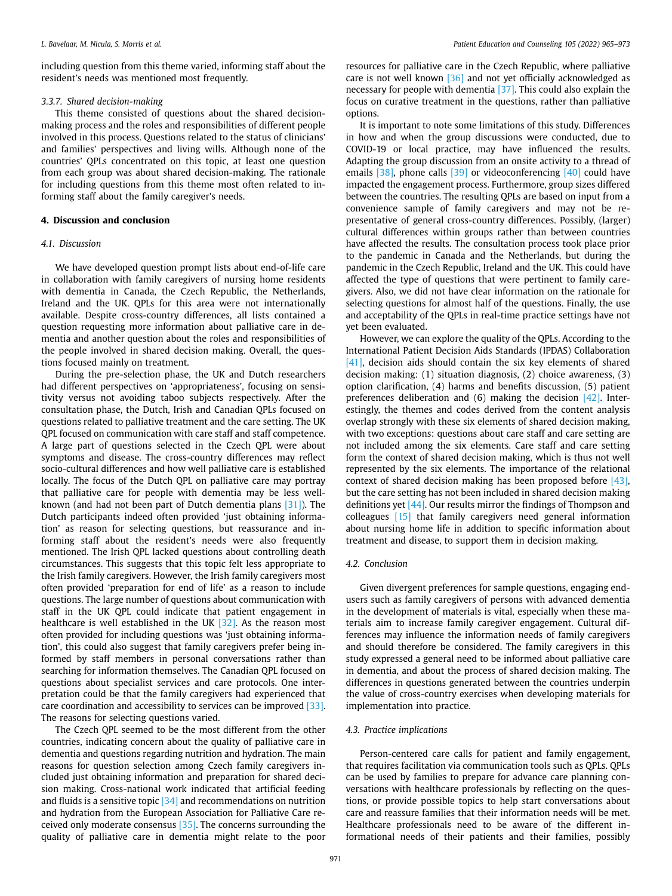including question from this theme varied, informing staff about the resident's needs was mentioned most frequently.

#### *3.3.7. Shared decision-making*

This theme consisted of questions about the shared decisionmaking process and the roles and responsibilities of different people involved in this process. Questions related to the status of clinicians' and families' perspectives and living wills. Although none of the countries' QPLs concentrated on this topic, at least one question from each group was about shared decision-making. The rationale for including questions from this theme most often related to informing staff about the family caregiver's needs.

## **4. Discussion and conclusion**

#### *4.1. Discussion*

We have developed question prompt lists about end-of-life care in collaboration with family caregivers of nursing home residents with dementia in Canada, the Czech Republic, the Netherlands, Ireland and the UK. QPLs for this area were not internationally available. Despite cross-country differences, all lists contained a question requesting more information about palliative care in dementia and another question about the roles and responsibilities of the people involved in shared decision making. Overall, the questions focused mainly on treatment.

During the pre-selection phase, the UK and Dutch researchers had different perspectives on 'appropriateness', focusing on sensitivity versus not avoiding taboo subjects respectively. After the consultation phase, the Dutch, Irish and Canadian QPLs focused on questions related to palliative treatment and the care setting. The UK QPL focused on communication with care staff and staff competence. A large part of questions selected in the Czech QPL were about symptoms and disease. The cross-country differences may reflect socio-cultural differences and how well palliative care is established locally. The focus of the Dutch QPL on palliative care may portray that palliative care for people with dementia may be less wellknown (and had not been part of Dutch dementia plans [\[31\]](#page-8-7)). The Dutch participants indeed often provided 'just obtaining information' as reason for selecting questions, but reassurance and informing staff about the resident's needs were also frequently mentioned. The Irish QPL lacked questions about controlling death circumstances. This suggests that this topic felt less appropriate to the Irish family caregivers. However, the Irish family caregivers most often provided 'preparation for end of life' as a reason to include questions. The large number of questions about communication with staff in the UK QPL could indicate that patient engagement in healthcare is well established in the UK  $[32]$ . As the reason most often provided for including questions was 'just obtaining information', this could also suggest that family caregivers prefer being informed by staff members in personal conversations rather than searching for information themselves. The Canadian QPL focused on questions about specialist services and care protocols. One interpretation could be that the family caregivers had experienced that care coordination and accessibility to services can be improved [\[33\].](#page-8-9) The reasons for selecting questions varied.

The Czech QPL seemed to be the most different from the other countries, indicating concern about the quality of palliative care in dementia and questions regarding nutrition and hydration. The main reasons for question selection among Czech family caregivers included just obtaining information and preparation for shared decision making. Cross-national work indicated that artificial feeding and fluids is a sensitive topic  $[34]$  and recommendations on nutrition and hydration from the European Association for Palliative Care received only moderate consensus [\[35\].](#page-8-11) The concerns surrounding the quality of palliative care in dementia might relate to the poor resources for palliative care in the Czech Republic, where palliative care is not well known [\[36\]](#page-8-12) and not yet officially acknowledged as necessary for people with dementia [\[37\]](#page-8-13). This could also explain the focus on curative treatment in the questions, rather than palliative options.

It is important to note some limitations of this study. Differences in how and when the group discussions were conducted, due to COVID-19 or local practice, may have influenced the results. Adapting the group discussion from an onsite activity to a thread of emails [\[38\],](#page-8-14) phone calls [\[39\]](#page-8-15) or videoconferencing [\[40\]](#page-8-16) could have impacted the engagement process. Furthermore, group sizes differed between the countries. The resulting QPLs are based on input from a convenience sample of family caregivers and may not be representative of general cross-country differences. Possibly, (larger) cultural differences within groups rather than between countries have affected the results. The consultation process took place prior to the pandemic in Canada and the Netherlands, but during the pandemic in the Czech Republic, Ireland and the UK. This could have affected the type of questions that were pertinent to family caregivers. Also, we did not have clear information on the rationale for selecting questions for almost half of the questions. Finally, the use and acceptability of the QPLs in real-time practice settings have not yet been evaluated.

However, we can explore the quality of the QPLs. According to the International Patient Decision Aids Standards (IPDAS) Collaboration [\[41\]](#page-8-17), decision aids should contain the six key elements of shared decision making: (1) situation diagnosis, (2) choice awareness, (3) option clarification, (4) harms and benefits discussion, (5) patient preferences deliberation and (6) making the decision [\[42\]](#page-8-18). Interestingly, the themes and codes derived from the content analysis overlap strongly with these six elements of shared decision making, with two exceptions: questions about care staff and care setting are not included among the six elements. Care staff and care setting form the context of shared decision making, which is thus not well represented by the six elements. The importance of the relational context of shared decision making has been proposed before [\[43\],](#page-8-19) but the care setting has not been included in shared decision making definitions yet [\[44\].](#page-8-20) Our results mirror the findings of Thompson and colleagues [\[15\]](#page-7-8) that family caregivers need general information about nursing home life in addition to specific information about treatment and disease, to support them in decision making.

#### *4.2. Conclusion*

Given divergent preferences for sample questions, engaging endusers such as family caregivers of persons with advanced dementia in the development of materials is vital, especially when these materials aim to increase family caregiver engagement. Cultural differences may influence the information needs of family caregivers and should therefore be considered. The family caregivers in this study expressed a general need to be informed about palliative care in dementia, and about the process of shared decision making. The differences in questions generated between the countries underpin the value of cross-country exercises when developing materials for implementation into practice.

## *4.3. Practice implications*

Person-centered care calls for patient and family engagement, that requires facilitation via communication tools such as QPLs. QPLs can be used by families to prepare for advance care planning conversations with healthcare professionals by reflecting on the questions, or provide possible topics to help start conversations about care and reassure families that their information needs will be met. Healthcare professionals need to be aware of the different informational needs of their patients and their families, possibly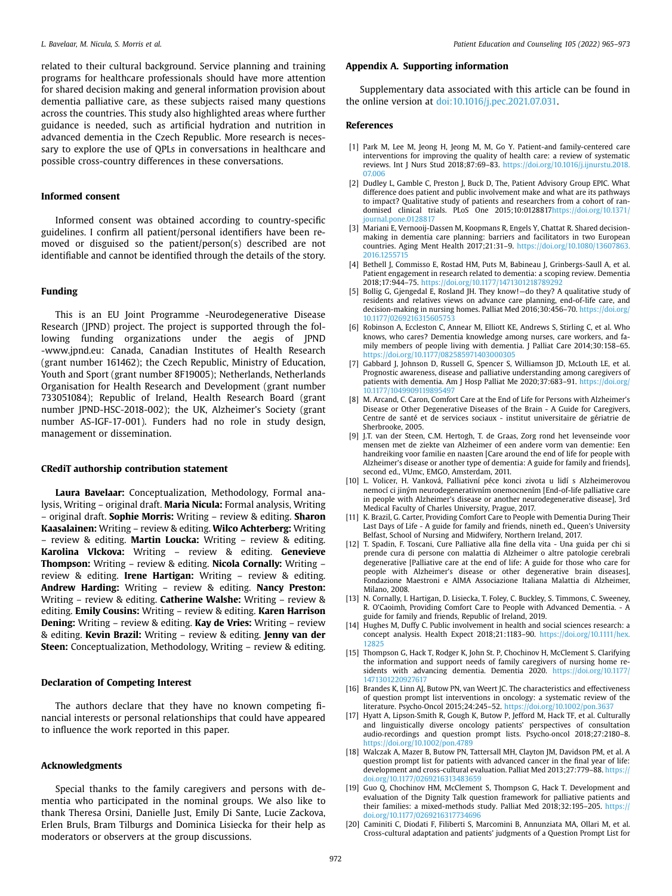related to their cultural background. Service planning and training programs for healthcare professionals should have more attention for shared decision making and general information provision about dementia palliative care, as these subjects raised many questions across the countries. This study also highlighted areas where further guidance is needed, such as artificial hydration and nutrition in advanced dementia in the Czech Republic. More research is necessary to explore the use of QPLs in conversations in healthcare and possible cross-country differences in these conversations.

#### **Informed consent**

Informed consent was obtained according to country-specific guidelines. I confirm all patient/personal identifiers have been removed or disguised so the patient/person(s) described are not identifiable and cannot be identified through the details of the story.

## **Funding**

This is an EU Joint Programme -Neurodegenerative Disease Research (JPND) project. The project is supported through the following funding organizations under the aegis of JPND -www.jpnd.eu: Canada, Canadian Institutes of Health Research (grant number 161462); the Czech Republic, Ministry of Education, Youth and Sport (grant number 8F19005); Netherlands, Netherlands Organisation for Health Research and Development (grant number 733051084); Republic of Ireland, Health Research Board (grant number JPND-HSC-2018-002); the UK, Alzheimer's Society (grant number AS-IGF-17-001). Funders had no role in study design, management or dissemination.

## **CRediT authorship contribution statement**

**Laura Bavelaar:** Conceptualization, Methodology, Formal analysis, Writing – original draft. **Maria Nicula:** Formal analysis, Writing – original draft. **Sophie Morris:** Writing – review & editing. **Sharon Kaasalainen:** Writing – review & editing. **Wilco Achterberg:** Writing – review & editing. **Martin Loucka:** Writing – review & editing. **Karolina Vlckova:** Writing – review & editing. **Genevieve Thompson:** Writing – review & editing. **Nicola Cornally:** Writing – review & editing. **Irene Hartigan:** Writing – review & editing. **Andrew Harding:** Writing – review & editing. **Nancy Preston:**  Writing – review & editing. **Catherine Walshe:** Writing – review & editing. **Emily Cousins:** Writing – review & editing. **Karen Harrison Dening:** Writing – review & editing. **Kay de Vries:** Writing – review & editing. **Kevin Brazil:** Writing – review & editing. **Jenny van der Steen:** Conceptualization, Methodology, Writing – review & editing.

#### **Declaration of Competing Interest**

The authors declare that they have no known competing financial interests or personal relationships that could have appeared to influence the work reported in this paper.

#### **Acknowledgments**

Special thanks to the family caregivers and persons with dementia who participated in the nominal groups. We also like to thank Theresa Orsini, Danielle Just, Emily Di Sante, Lucie Zackova, Erlen Bruls, Bram Tilburgs and Dominica Lisiecka for their help as moderators or observers at the group discussions.

## **Appendix A. Supporting information**

Supplementary data associated with this article can be found in the online version at [doi:10.1016/j.pec.2021.07.031.](https://doi.org/10.1016/j.pec.2021.07.031)

#### **References**

- <span id="page-7-0"></span>[1] Park M, Lee M, Jeong H, Jeong M, M, Go Y. Patient-and family-centered care interventions for improving the quality of health care: a review of systematic reviews. Int J Nurs Stud 2018;87:69–83. [https://doi.org/10.1016/j.ijnurstu.2018.](https://doi.org/10.1016/j.ijnurstu.2018.07.006)  [07.006](https://doi.org/10.1016/j.ijnurstu.2018.07.006)
- <span id="page-7-1"></span>[2] Dudley L, Gamble C, Preston J, Buck D, The, Patient Advisory Group EPIC. What difference does patient and public involvement make and what are its pathways to impact? Qualitative study of patients and researchers from a cohort of randomised clinical trials. PLoS One 2015;10:012881[7https://doi.org/10.1371/](https://doi.org/10.1371/journal.pone.0128817)  [journal.pone.0128817](https://doi.org/10.1371/journal.pone.0128817)
- <span id="page-7-2"></span>[3] Mariani E, Vernooij-Dassen M, Koopmans R, Engels Y, Chattat R. Shared decisionmaking in dementia care planning: barriers and facilitators in two European countries. Aging Ment Health 2017;21:31–9. [https://doi.org/10.1080/13607863.](https://doi.org/10.1080/13607863.2016.1255715)  [2016.1255715](https://doi.org/10.1080/13607863.2016.1255715)
- [4] Bethell J, Commisso E, Rostad HM, Puts M, Babineau J, Grinbergs-Saull A, et al. Patient engagement in research related to dementia: a scoping review. Dementia 2018;17:944–75. <https://doi.org/10.1177/1471301218789292>
- <span id="page-7-3"></span>[5] Bollig G, Gjengedal E, Rosland JH. They know!—do they? A qualitative study of residents and relatives views on advance care planning, end-of-life care, and decision-making in nursing homes. Palliat Med 2016;30:456-70. https://doi.org/ 10.1177/02692163156057
- <span id="page-7-4"></span>[6] Robinson A, Eccleston C, Annear M, Elliott KE, Andrews S, Stirling C, et al. Who knows, who cares? Dementia knowledge among nurses, care workers, and family members of people living with dementia. J Palliat Care 2014;30:158–65. <https://doi.org/10.1177/082585971403000305>
- [7] Gabbard J, Johnson D, Russell G, Spencer S, Williamson JD, McLouth LE, et al. Prognostic awareness, disease and palliative understanding among caregivers of patients with dementia. Am J Hosp Palliat Me 2020;37:683-91. https://doi.org/ [10.1177/1049909119895497](https://doi.org/10.1177/1049909119895497)
- <span id="page-7-5"></span>[8] M. Arcand, C. Caron, Comfort Care at the End of Life for Persons with Alzheimer's Disease or Other Degenerative Diseases of the Brain - A Guide for Caregivers, Centre de santé et de services sociaux - institut universitaire de gériatrie de Sherbrooke, 2005.
- <span id="page-7-6"></span>[9] J.T. van der Steen, C.M. Hertogh, T. de Graas, Zorg rond het levenseinde voor mensen met de ziekte van Alzheimer of een andere vorm van dementie: Een handreiking voor familie en naasten [Care around the end of life for people with Alzheimer's disease or another type of dementia: A guide for family and friends], second ed., VUmc, EMGO, Amsterdam, 2011.
- [10] L. Volicer, H. Vanková, Palliativní péce konci zivota u lidí s Alzheimerovou nemocí ci jiným neurodegenerativním onemocnením [End-of-life palliative care in people with Alzheimer's disease or another neurodegenerative disease], 3rd Medical Faculty of Charles University, Prague, 2017.
- [11] K. Brazil, G. Carter, Providing Comfort Care to People with Dementia During Their Last Days of Life - A guide for family and friends, nineth ed., Queen's University Belfast, School of Nursing and Midwifery, Northern Ireland, 2017.
- [12] T. Spadin, F. Toscani, Cure Palliative alla fine della vita Una guida per chi si prende cura di persone con malattia di Alzheimer o altre patologie cerebrali degenerative [Palliative care at the end of life: A guide for those who care for people with Alzheimer's disease or other degenerative brain diseases], Fondazione Maestroni e AIMA Associazione Italiana Malattia di Alzheimer, Milano, 2008*.*
- [13] N. Cornally, I. Hartigan, D. Lisiecka, T. Foley, C. Buckley, S. Timmons, C. Sweeney, R. O'Caoimh, Providing Comfort Care to People with Advanced Dementia. - A guide for family and friends, Republic of Ireland, 2019.
- <span id="page-7-7"></span>[14] Hughes M, Duffy C. Public involvement in health and social sciences research: a concept analysis. Health Expect 2018;21:1183–90. [https://doi.org/10.1111/hex.](https://doi.org/10.1111/hex.12825)  [12825](https://doi.org/10.1111/hex.12825)
- <span id="page-7-8"></span>[15] Thompson G, Hack T, Rodger K, John St. P, Chochinov H, McClement S. Clarifying the information and support needs of family caregivers of nursing home residents with advancing dementia. Dementia 2020. [https://doi.org/10.1177/](https://doi.org/10.1177/1471301220927617)  [1471301220927617](https://doi.org/10.1177/1471301220927617)
- <span id="page-7-9"></span>[16] Brandes K, Linn AJ, Butow PN, van Weert JC. The characteristics and effectiveness of question prompt list interventions in oncology: a systematic review of the literature. Psycho‐Oncol 2015;24:245–52. <https://doi.org/10.1002/pon.3637>
- <span id="page-7-10"></span>[17] Hyatt A, Lipson-Smith R, Gough K, Butow P, Jefford M, Hack TF, et al. Culturally and linguistically diverse oncology patients' perspectives of consultation audio‐recordings and question prompt lists. Psycho‐oncol 2018;27:2180–8. <https://doi.org/10.1002/pon.4789>
- <span id="page-7-11"></span>[18] Walczak A, Mazer B, Butow PN, Tattersall MH, Clayton JM, Davidson PM, et al. A question prompt list for patients with advanced cancer in the final year of life: development and cross-cultural evaluation. Palliat Med 2013;27:779–88. [https://](https://doi.org/10.1177/0269216313483659)  [doi.org/10.1177/0269216313483659](https://doi.org/10.1177/0269216313483659)
- <span id="page-7-12"></span>[19] Guo Q, Chochinov HM, McClement S, Thompson G, Hack T. Development and evaluation of the Dignity Talk question framework for palliative patients and their families: a mixed-methods study. Palliat Med 2018;32:195-205. https:// [doi.org/10.1177/0269216317734696](https://doi.org/10.1177/0269216317734696)
- [20] Caminiti C, Diodati F, Filiberti S, Marcomini B, Annunziata MA, Ollari M, et al. Cross-cultural adaptation and patients' judgments of a Question Prompt List for